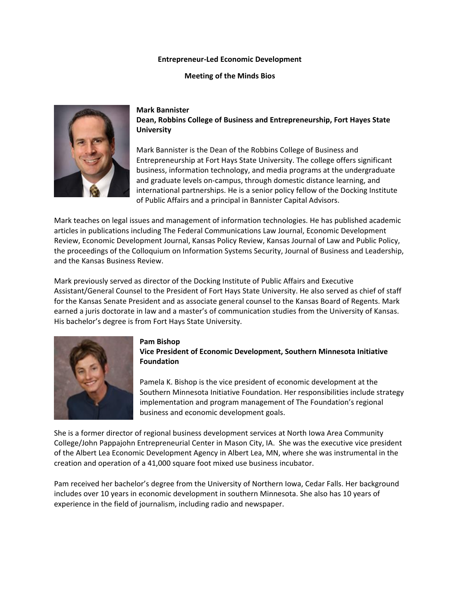#### **Entrepreneur-Led Economic Development**

**Meeting of the Minds Bios**



**Mark Bannister Dean, Robbins College of Business and Entrepreneurship, Fort Hayes State University**

Mark Bannister is the Dean of the Robbins College of Business and Entrepreneurship at Fort Hays State University. The college offers significant business, information technology, and media programs at the undergraduate and graduate levels on-campus, through domestic distance learning, and international partnerships. He is a senior policy fellow of the Docking Institute of Public Affairs and a principal in Bannister Capital Advisors.

Mark teaches on legal issues and management of information technologies. He has published academic articles in publications including The Federal Communications Law Journal, Economic Development Review, Economic Development Journal, Kansas Policy Review, Kansas Journal of Law and Public Policy, the proceedings of the Colloquium on Information Systems Security, Journal of Business and Leadership, and the Kansas Business Review.

Mark previously served as director of the Docking Institute of Public Affairs and Executive Assistant/General Counsel to the President of Fort Hays State University. He also served as chief of staff for the Kansas Senate President and as associate general counsel to the Kansas Board of Regents. Mark earned a juris doctorate in law and a master's of communication studies from the University of Kansas. His bachelor's degree is from Fort Hays State University.



### **Pam Bishop Vice President of Economic Development, Southern Minnesota Initiative Foundation**

Pamela K. Bishop is the vice president of economic development at the Southern Minnesota Initiative Foundation. Her responsibilities include strategy implementation and program management of The Foundation's regional business and economic development goals.

She is a former director of regional business development services at North Iowa Area Community College/John Pappajohn Entrepreneurial Center in Mason City, IA. She was the executive vice president of the Albert Lea Economic Development Agency in Albert Lea, MN, where she was instrumental in the creation and operation of a 41,000 square foot mixed use business incubator.

Pam received her bachelor's degree from the University of Northern Iowa, Cedar Falls. Her background includes over 10 years in economic development in southern Minnesota. She also has 10 years of experience in the field of journalism, including radio and newspaper.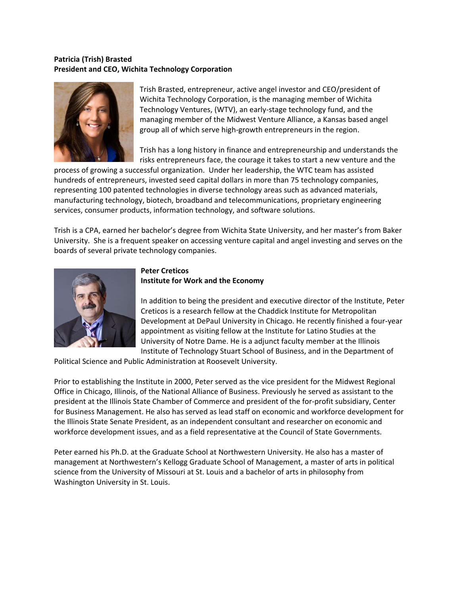# **Patricia (Trish) Brasted President and CEO, Wichita Technology Corporation**



Trish Brasted, entrepreneur, active angel investor and CEO/president of Wichita Technology Corporation, is the managing member of Wichita Technology Ventures, (WTV), an early-stage technology fund, and the managing member of the Midwest Venture Alliance, a Kansas based angel group all of which serve high-growth entrepreneurs in the region.

Trish has a long history in finance and entrepreneurship and understands the risks entrepreneurs face, the courage it takes to start a new venture and the

process of growing a successful organization. Under her leadership, the WTC team has assisted hundreds of entrepreneurs, invested seed capital dollars in more than 75 technology companies, representing 100 patented technologies in diverse technology areas such as advanced materials, manufacturing technology, biotech, broadband and telecommunications, proprietary engineering services, consumer products, information technology, and software solutions.

Trish is a CPA, earned her bachelor's degree from Wichita State University, and her master's from Baker University. She is a frequent speaker on accessing venture capital and angel investing and serves on the boards of several private technology companies.



# **Peter Creticos**

# **Institute for Work and the Economy**

In addition to being the president and executive director of the Institute, Peter Creticos is a research fellow at the Chaddick Institute for Metropolitan Development at DePaul University in Chicago. He recently finished a four-year appointment as visiting fellow at the Institute for Latino Studies at the University of Notre Dame. He is a adjunct faculty member at the Illinois Institute of Technology Stuart School of Business, and in the Department of

Political Science and Public Administration at Roosevelt University.

Prior to establishing the Institute in 2000, Peter served as the vice president for the Midwest Regional Office in Chicago, Illinois, of the National Alliance of Business. Previously he served as assistant to the president at the Illinois State Chamber of Commerce and president of the for-profit subsidiary, Center for Business Management. He also has served as lead staff on economic and workforce development for the Illinois State Senate President, as an independent consultant and researcher on economic and workforce development issues, and as a field representative at the Council of State Governments.

Peter earned his Ph.D. at the Graduate School at Northwestern University. He also has a master of management at Northwestern's Kellogg Graduate School of Management, a master of arts in political science from the University of Missouri at St. Louis and a bachelor of arts in philosophy from Washington University in St. Louis.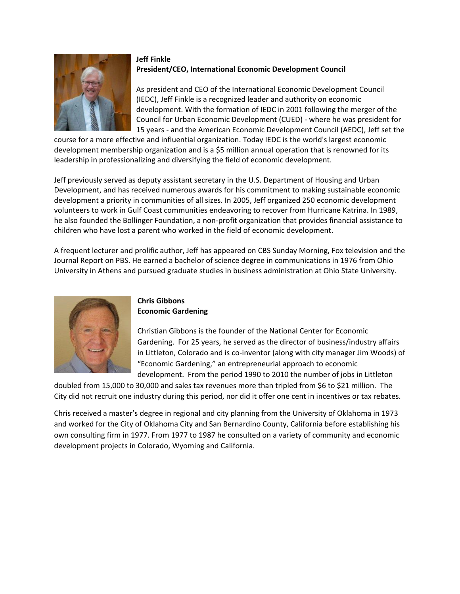

# **Jeff Finkle President/CEO, International Economic Development Council**

As president and CEO of the International Economic Development Council (IEDC), Jeff Finkle is a recognized leader and authority on economic development. With the formation of IEDC in 2001 following the merger of the Council for Urban Economic Development (CUED) - where he was president for 15 years - and the American Economic Development Council (AEDC), Jeff set the

course for a more effective and influential organization. Today IEDC is the world's largest economic development membership organization and is a \$5 million annual operation that is renowned for its leadership in professionalizing and diversifying the field of economic development.

Jeff previously served as deputy assistant secretary in the U.S. Department of Housing and Urban Development, and has received numerous awards for his commitment to making sustainable economic development a priority in communities of all sizes. In 2005, Jeff organized 250 economic development volunteers to work in Gulf Coast communities endeavoring to recover from Hurricane Katrina. In 1989, he also founded the Bollinger Foundation, a non-profit organization that provides financial assistance to children who have lost a parent who worked in the field of economic development.

A frequent lecturer and prolific author, Jeff has appeared on CBS Sunday Morning, Fox television and the Journal Report on PBS. He earned a bachelor of science degree in communications in 1976 from Ohio University in Athens and pursued graduate studies in business administration at Ohio State University.



### **Chris Gibbons Economic Gardening**

Christian Gibbons is the founder of the National Center for Economic Gardening. For 25 years, he served as the director of business/industry affairs in Littleton, Colorado and is co-inventor (along with city manager Jim Woods) of "Economic Gardening," an entrepreneurial approach to economic development. From the period 1990 to 2010 the number of jobs in Littleton

doubled from 15,000 to 30,000 and sales tax revenues more than tripled from \$6 to \$21 million. The City did not recruit one industry during this period, nor did it offer one cent in incentives or tax rebates.

Chris received a master's degree in regional and city planning from the University of Oklahoma in 1973 and worked for the City of Oklahoma City and San Bernardino County, California before establishing his own consulting firm in 1977. From 1977 to 1987 he consulted on a variety of community and economic development projects in Colorado, Wyoming and California.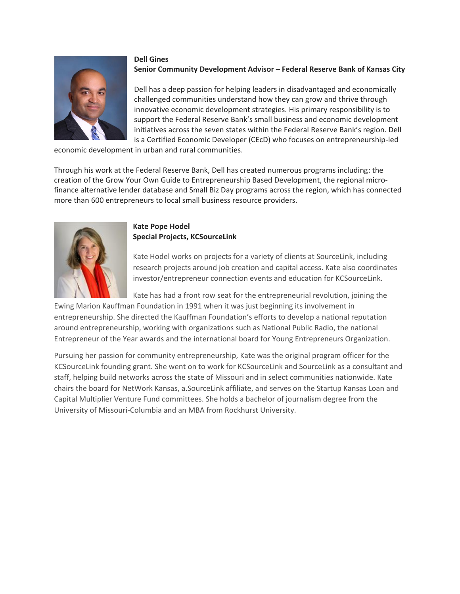

### **Dell Gines Senior Community Development Advisor – Federal Reserve Bank of Kansas City**

Dell has a deep passion for helping leaders in disadvantaged and economically challenged communities understand how they can grow and thrive through innovative economic development strategies. His primary responsibility is to support the Federal Reserve Bank's small business and economic development initiatives across the seven states within the Federal Reserve Bank's region. Dell is a Certified Economic Developer (CEcD) who focuses on entrepreneurship-led

economic development in urban and rural communities.

Through his work at the Federal Reserve Bank, Dell has created numerous programs including: the creation of the Grow Your Own Guide to Entrepreneurship Based Development, the regional microfinance alternative lender database and Small Biz Day programs across the region, which has connected more than 600 entrepreneurs to local small business resource providers.



## **Kate Pope Hodel Special Projects, KCSourceLink**

Kate Hodel works on projects for a variety of clients at SourceLink, including research projects around job creation and capital access. Kate also coordinates investor/entrepreneur connection events and education for KCSourceLink.

Kate has had a front row seat for the entrepreneurial revolution, joining the Ewing Marion Kauffman Foundation in 1991 when it was just beginning its involvement in entrepreneurship. She directed the Kauffman Foundation's efforts to develop a national reputation around entrepreneurship, working with organizations such as National Public Radio, the national Entrepreneur of the Year awards and the international board for Young Entrepreneurs Organization.

Pursuing her passion for community entrepreneurship, Kate was the original program officer for the KCSourceLink founding grant. She went on to work for KCSourceLink and SourceLink as a consultant and staff, helping build networks across the state of Missouri and in select communities nationwide. Kate chairs the board for NetWork Kansas, a.SourceLink affiliate, and serves on the Startup Kansas Loan and Capital Multiplier Venture Fund committees. She holds a bachelor of journalism degree from the University of Missouri-Columbia and an MBA from Rockhurst University.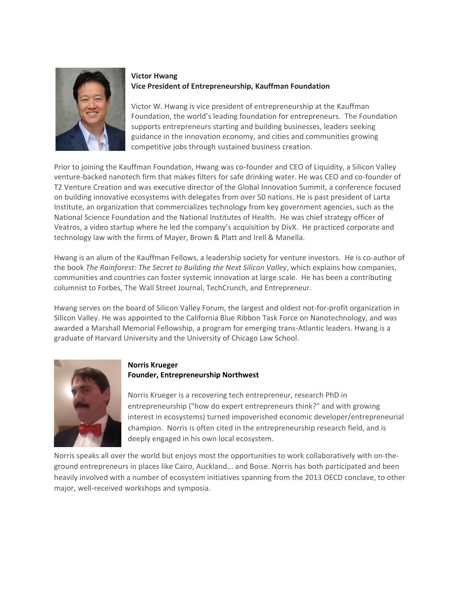

# **Victor Hwang Vice President of Entrepreneurship, Kauffman Foundation**

Victor W. Hwang is vice president of entrepreneurship at the Kauffman Foundation, the world's leading foundation for entrepreneurs. The Foundation supports entrepreneurs starting and building businesses, leaders seeking guidance in the innovation economy, and cities and communities growing competitive jobs through sustained business creation.

Prior to joining the Kauffman Foundation, Hwang was co-founder and CEO of Liquidity, a Silicon Valley venture-backed nanotech firm that makes filters for safe drinking water. He was CEO and co-founder of T2 Venture Creation and was executive director of the Global Innovation Summit, a conference focused on building innovative ecosystems with delegates from over 50 nations. He is past president of Larta Institute, an organization that commercializes technology from key government agencies, such as the National Science Foundation and the National Institutes of Health. He was chief strategy officer of Veatros, a video startup where he led the company's acquisition by DivX. He practiced corporate and technology law with the firms of Mayer, Brown & Platt and Irell & Manella.

Hwang is an alum of the Kauffman Fellows, a leadership society for venture investors. He is co-author of the book *The Rainforest: The Secret to Building the Next Silicon Valley*, which explains how companies, communities and countries can foster systemic innovation at large scale. He has been a contributing columnist to Forbes, The Wall Street Journal, TechCrunch, and Entrepreneur.

Hwang serves on the board of Silicon Valley Forum, the largest and oldest not-for-profit organization in Silicon Valley. He was appointed to the California Blue Ribbon Task Force on Nanotechnology, and was awarded a Marshall Memorial Fellowship, a program for emerging trans-Atlantic leaders. Hwang is a graduate of Harvard University and the University of Chicago Law School.



## **Norris Krueger Founder, Entrepreneurship Northwest**

Norris Krueger is a recovering tech entrepreneur, research PhD in entrepreneurship ("how do expert entrepreneurs think?" and with growing interest in ecosystems) turned impoverished economic developer/entrepreneurial champion. Norris is often cited in the entrepreneurship research field, and is deeply engaged in his own local ecosystem.

Norris speaks all over the world but enjoys most the opportunities to work collaboratively with on-theground entrepreneurs in places like Cairo, Auckland... and Boise. Norris has both participated and been heavily involved with a number of ecosystem initiatives spanning from the 2013 OECD conclave, to other major, well-received workshops and symposia.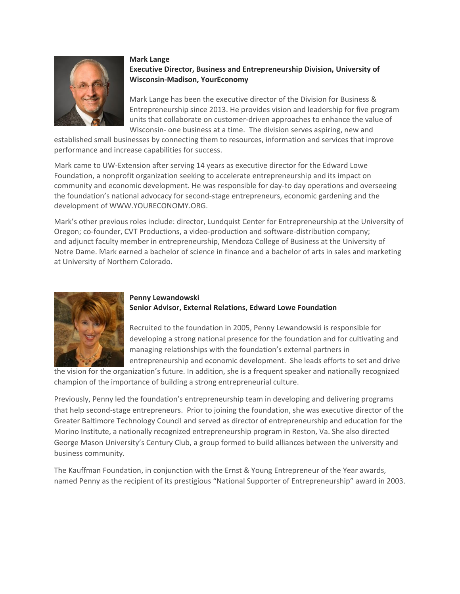

#### **Mark Lange Executive Director, Business and Entrepreneurship Division, University of Wisconsin-Madison, YourEconomy**

Mark Lange has been the executive director of the Division for Business & Entrepreneurship since 2013. He provides vision and leadership for five program units that collaborate on customer-driven approaches to enhance the value of Wisconsin- one business at a time. The division serves aspiring, new and

established small businesses by connecting them to resources, information and services that improve performance and increase capabilities for success.

Mark came to UW-Extension after serving 14 years as executive director for the Edward Lowe Foundation, a nonprofit organization seeking to accelerate entrepreneurship and its impact on community and economic development. He was responsible for day-to day operations and overseeing the foundation's national advocacy for second-stage entrepreneurs, economic gardening and the development of [WWW.YOURECONOMY.ORG.](http://www.youreconomy.org/)

Mark's other previous roles include: director, Lundquist Center for Entrepreneurship at the University of Oregon; co-founder, CVT Productions, a video-production and software-distribution company; and adjunct faculty member in entrepreneurship, Mendoza College of Business at the University of Notre Dame. Mark earned a bachelor of science in finance and a bachelor of arts in sales and marketing at University of Northern Colorado.



### **Penny Lewandowski Senior Advisor, External Relations, Edward Lowe Foundation**

Recruited to the foundation in 2005, Penny Lewandowski is responsible for developing a strong national presence for the foundation and for cultivating and managing relationships with the foundation's external partners in entrepreneurship and economic development. She leads efforts to set and drive

the vision for the organization's future. In addition, she is a frequent speaker and nationally recognized champion of the importance of building a strong entrepreneurial culture.

Previously, Penny led the foundation's entrepreneurship team in developing and delivering programs that help second-stage entrepreneurs. Prior to joining the foundation, she was executive director of the Greater Baltimore Technology Council and served as director of entrepreneurship and education for the Morino Institute, a nationally recognized entrepreneurship program in Reston, Va. She also directed George Mason University's Century Club, a group formed to build alliances between the university and business community.

The Kauffman Foundation, in conjunction with the Ernst & Young Entrepreneur of the Year awards, named Penny as the recipient of its prestigious "National Supporter of Entrepreneurship" award in 2003.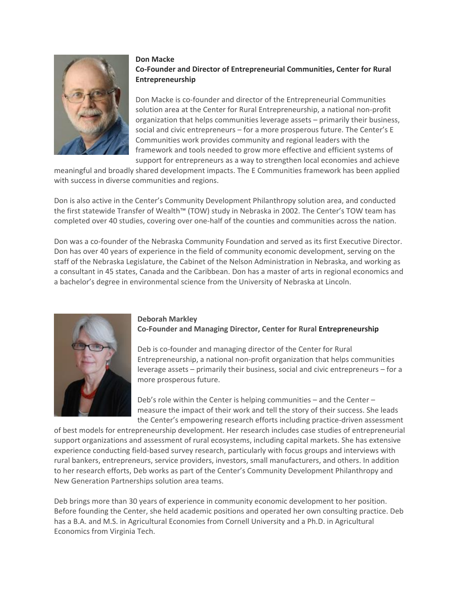

### **Don Macke Co-Founder and Director of Entrepreneurial Communities, Center for Rural Entrepreneurship**

Don Macke is co-founder and director of the [Entrepreneurial Communities](http://www.energizingentrepreneurs.org/solutions/) solution area at the Center for Rural Entrepreneurship, a national non-profit organization that helps communities leverage assets – primarily their business, social and civic entrepreneurs – for a more prosperous future. The Center's E Communities work provides community and regional leaders with the framework and tools needed to grow more effective and efficient systems of support for entrepreneurs as a way to strengthen local economies and achieve

meaningful and broadly shared development impacts. The E Communities framework has been applied with success in diverse communities and regions.

Don is also active in the Center's Community Development Philanthropy solution area, and conducted the first statewide Transfer of Wealth™ (TOW) study in Nebraska in 2002. The Center's TOW team has completed over 40 studies, covering over one-half of the counties and communities across the nation.

Don was a co-founder of the Nebraska Community Foundation and served as its first Executive Director. Don has over 40 years of experience in the field of community economic development, serving on the staff of the Nebraska Legislature, the Cabinet of the Nelson Administration in Nebraska, and working as a consultant in 45 states, Canada and the Caribbean. Don has a master of arts in regional economics and a bachelor's degree in environmental science from the University of Nebraska at Lincoln.



### **Deborah Markley**

**Co-Founder and Managing Director, Center for Rural Entrepreneurship**

Deb is co-founder and managing director of the Center for Rural Entrepreneurship, a national non-profit organization that helps communities leverage assets – primarily their business, social and civic entrepreneurs – for a more prosperous future.

Deb's role within the Center is helping communities – and the Center – measure the impact of their work and tell the story of their success. She leads the Center's empowering research efforts including practice-driven assessment

of best models for entrepreneurship development. Her research includes case studies of entrepreneurial support organizations and assessment of rural ecosystems, including capital markets. She has extensive experience conducting field-based survey research, particularly with focus groups and interviews with rural bankers, entrepreneurs, service providers, investors, small manufacturers, and others. In addition to her research efforts, Deb works as part of the Center's Community Development Philanthropy and New Generation Partnerships solution area teams.

Deb brings more than 30 years of experience in community economic development to her position. Before founding the Center, she held academic positions and operated her own consulting practice. Deb has a B.A. and M.S. in Agricultural Economies from Cornell University and a Ph.D. in Agricultural Economics from Virginia Tech.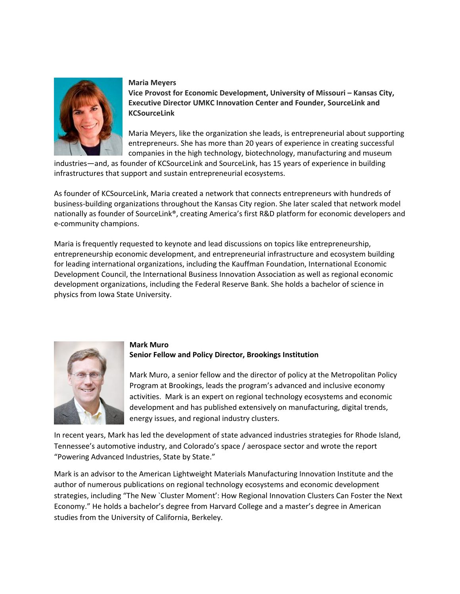

#### **Maria Meyers**

**Vice Provost for Economic Development, University of Missouri – Kansas City, Executive Director UMKC Innovation Center and Founder, SourceLink and KCSourceLink**

Maria Meyers, like the organization she leads, is entrepreneurial about supporting entrepreneurs. She has more than 20 years of experience in creating successful companies in the high technology, biotechnology, manufacturing and museum

industries—and, as founder of KCSourceLink and SourceLink, has 15 years of experience in building infrastructures that support and sustain entrepreneurial ecosystems.

As founder of KCSourceLink, Maria created a network that connects entrepreneurs with hundreds of business-building organizations throughout the Kansas City region. She later scaled that network model nationally as founder of SourceLink®, creating America's first R&D platform for economic developers and e-community champions.

Maria is frequently requested to keynote and lead discussions on topics like entrepreneurship, entrepreneurship economic development, and entrepreneurial infrastructure and ecosystem building for leading international organizations, including the Kauffman Foundation, International Economic Development Council, the International Business Innovation Association as well as regional economic development organizations, including the Federal Reserve Bank. She holds a bachelor of science in physics from Iowa State University.



### **Mark Muro Senior Fellow and Policy Director, Brookings Institution**

Mark Muro, a senior fellow and the director of policy at the Metropolitan Policy Program at Brookings, leads the program's advanced and inclusive economy activities. Mark is an expert on regional technology ecosystems and economic development and has published extensively on manufacturing, digital trends, energy issues, and regional industry clusters.

In recent years, Mark has led the development of state advanced industries strategies for Rhode Island, Tennessee's automotive industry, and Colorado's space / aerospace sector and wrote the report "Powering Advanced Industries, State by State."

Mark is an advisor to the American Lightweight Materials Manufacturing Innovation Institute and the author of numerous publications on regional technology ecosystems and economic development strategies, including "The New `Cluster Moment': How Regional Innovation Clusters Can Foster the Next Economy." He holds a bachelor's degree from Harvard College and a master's degree in American studies from the University of California, Berkeley.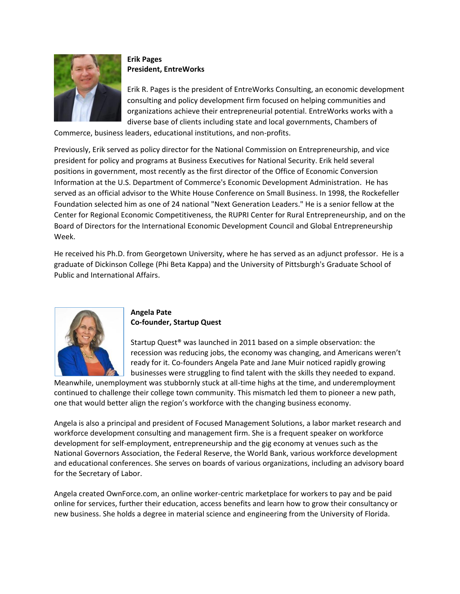

# **Erik Pages President, EntreWorks**

Erik R. Pages is the president of EntreWorks Consulting, an economic development consulting and policy development firm focused on helping communities and organizations achieve their entrepreneurial potential. EntreWorks works with a diverse base of clients including state and local governments, Chambers of

Commerce, business leaders, educational institutions, and non-profits.

Previously, Erik served as policy director for the National Commission on Entrepreneurship, and vice president for policy and programs at Business Executives for National Security. Erik held several positions in government, most recently as the first director of the Office of Economic Conversion Information at the U.S. Department of Commerce's Economic Development Administration. He has served as an official advisor to the White House Conference on Small Business. In 1998, the Rockefeller Foundation selected him as one of 24 national "Next Generation Leaders." He is a senior fellow at the Center for Regional Economic Competitiveness, the RUPRI Center for Rural Entrepreneurship, and on the Board of Directors for the International Economic Development Council and Global Entrepreneurship Week.

He received his Ph.D. from Georgetown University, where he has served as an adjunct professor. He is a graduate of Dickinson College (Phi Beta Kappa) and the University of Pittsburgh's Graduate School of Public and International Affairs.



### **Angela Pate Co-founder, Startup Quest**

Startup Quest® was launched in 2011 based on a simple observation: the recession was reducing jobs, the economy was changing, and Americans weren't ready for it. Co-founders Angela Pate and Jane Muir noticed rapidly growing businesses were struggling to find talent with the skills they needed to expand.

Meanwhile, unemployment was stubbornly stuck at all-time highs at the time, and underemployment continued to challenge their college town community. This mismatch led them to pioneer a new path, one that would better align the region's workforce with the changing business economy.

Angela is also a principal and president of Focused Management Solutions, a labor market research and workforce development consulting and management firm. She is a frequent speaker on workforce development for self-employment, entrepreneurship and the gig economy at venues such as the National Governors Association, the Federal Reserve, the World Bank, various workforce development and educational conferences. She serves on boards of various organizations, including an advisory board for the Secretary of Labor.

Angela created OwnForce.com, an online worker-centric marketplace for workers to pay and be paid online for services, further their education, access benefits and learn how to grow their consultancy or new business. She holds a degree in material science and engineering from the University of Florida.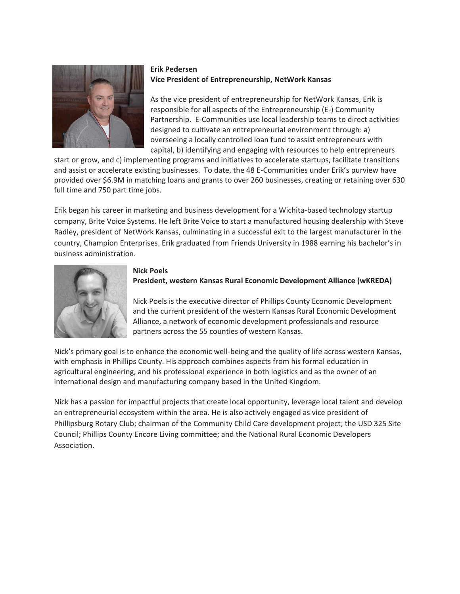

# **Erik Pedersen Vice President of Entrepreneurship, NetWork Kansas**

As the vice president of entrepreneurship for NetWork Kansas, Erik is responsible for all aspects of the Entrepreneurship (E-) Community Partnership. E-Communities use local leadership teams to direct activities designed to cultivate an entrepreneurial environment through: a) overseeing a locally controlled loan fund to assist entrepreneurs with capital, b) identifying and engaging with resources to help entrepreneurs

start or grow, and c) implementing programs and initiatives to accelerate startups, facilitate transitions and assist or accelerate existing businesses. To date, the 48 E-Communities under Erik's purview have provided over \$6.9M in matching loans and grants to over 260 businesses, creating or retaining over 630 full time and 750 part time jobs.

Erik began his career in marketing and business development for a Wichita-based technology startup company, Brite Voice Systems. He left Brite Voice to start a manufactured housing dealership with Steve Radley, president of NetWork Kansas, culminating in a successful exit to the largest manufacturer in the country, Champion Enterprises. Erik graduated from Friends University in 1988 earning his bachelor's in business administration.



### **Nick Poels**

# **President, western Kansas Rural Economic Development Alliance (wKREDA)**

Nick Poels is the executive director of Phillips County Economic Development and the current president of the western Kansas Rural Economic Development Alliance, a network of economic development professionals and resource partners across the 55 counties of western Kansas.

Nick's primary goal is to enhance the economic well-being and the quality of life across western Kansas, with emphasis in Phillips County. His approach combines aspects from his formal education in agricultural engineering, and his professional experience in both logistics and as the owner of an international design and manufacturing company based in the United Kingdom.

Nick has a passion for impactful projects that create local opportunity, leverage local talent and develop an entrepreneurial ecosystem within the area. He is also actively engaged as vice president of Phillipsburg Rotary Club; chairman of the Community Child Care development project; the USD 325 Site Council; Phillips County Encore Living committee; and the National Rural Economic Developers Association.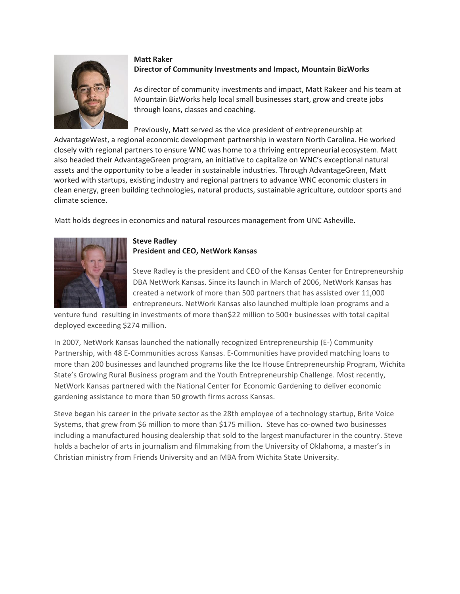

# **Matt Raker Director of Community Investments and Impact, Mountain BizWorks**

As director of community investments and impact, Matt Rakeer and his team at Mountain BizWorks help local small businesses start, grow and create jobs through loans, classes and coaching.

Previously, Matt served as the vice president of entrepreneurship at

AdvantageWest, a regional economic development partnership in western North Carolina. He worked closely with regional partners to ensure WNC was home to a thriving entrepreneurial ecosystem. Matt also headed their AdvantageGreen program, an initiative to capitalize on WNC's exceptional natural assets and the opportunity to be a leader in sustainable industries. Through AdvantageGreen, Matt worked with startups, existing industry and regional partners to advance WNC economic clusters in clean energy, green building technologies, natural products, sustainable agriculture, outdoor sports and climate science.

Matt holds degrees in economics and natural resources management from UNC Asheville.



#### **Steve Radley President and CEO, NetWork Kansas**

Steve Radley is the president and CEO of the Kansas Center for Entrepreneurship DBA NetWork Kansas. Since its launch in March of 2006, NetWork Kansas has created a network of more than 500 partners that has assisted over 11,000 entrepreneurs. NetWork Kansas also launched multiple loan programs and a

venture fund resulting in investments of more than\$22 million to 500+ businesses with total capital deployed exceeding \$274 million.

In 2007, NetWork Kansas launched the nationally recognized Entrepreneurship (E-) Community Partnership, with 48 E-Communities across Kansas. E-Communities have provided matching loans to more than 200 businesses and launched programs like the Ice House Entrepreneurship Program, Wichita State's Growing Rural Business program and the Youth Entrepreneurship Challenge. Most recently, NetWork Kansas partnered with the National Center for Economic Gardening to deliver economic gardening assistance to more than 50 growth firms across Kansas.

Steve began his career in the private sector as the 28th employee of a technology startup, Brite Voice Systems, that grew from \$6 million to more than \$175 million. Steve has co-owned two businesses including a manufactured housing dealership that sold to the largest manufacturer in the country. Steve holds a bachelor of arts in journalism and filmmaking from the University of Oklahoma, a master's in Christian ministry from Friends University and an MBA from Wichita State University.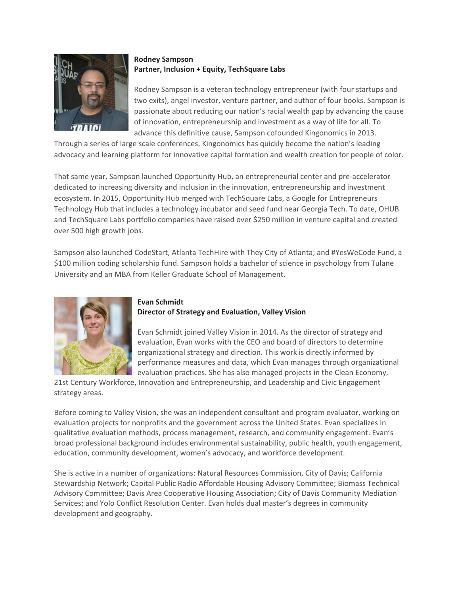

# **Rodney Sampson Partner, Inclusion + Equity, TechSquare Labs**

Rodney Sampson is a veteran technology entrepreneur (with four startups and two exits), angel investor, venture partner, and author of four books. Sampson is passionate about reducing our nation's racial wealth gap by advancing the cause of innovation, entrepreneurship and investment as a way of life for all. To advance this definitive cause, Sampson cofounded Kingonomics in 2013.

Through a series of large scale conferences, Kingonomics has quickly become the nation's leading advocacy and learning platform for innovative capital formation and wealth creation for people of color.

That same year, Sampson launched Opportunity Hub, an entrepreneurial center and pre-accelerator dedicated to increasing diversity and inclusion in the innovation, entrepreneurship and investment ecosystem. In 2015, Opportunity Hub merged with TechSquare Labs, a Google for Entrepreneurs Technology Hub that includes a technology incubator and seed fund near Georgia Tech. To date, OHUB and TechSquare Labs portfolio companies have raised over \$250 million in venture capital and created over 500 high growth jobs.

Sampson also launched CodeStart, Atlanta TechHire with They City of Atlanta; and #YesWeCode Fund, a \$100 million coding scholarship fund. Sampson holds a bachelor of science in psychology from Tulane University and an MBA from Keller Graduate School of Management.



#### **Evan Schmidt Director of Strategy and Evaluation, Valley Vision**

Evan Schmidt joined Valley Vision in 2014. As the director of strategy and evaluation, Evan works with the CEO and board of directors to determine organizational strategy and direction. This work is directly informed by performance measures and data, which Evan manages through organizational evaluation practices. She has also managed projects in the Clean Economy,

21st Century Workforce, Innovation and Entrepreneurship, and Leadership and Civic Engagement strategy areas.

Before coming to Valley Vision, she was an independent consultant and program evaluator, working on evaluation projects for nonprofits and the government across the United States. Evan specializes in qualitative evaluation methods, process management, research, and community engagement. Evan's broad professional background includes environmental sustainability, public health, youth engagement, education, community development, women's advocacy, and workforce development.

She is active in a number of organizations: Natural Resources Commission, City of Davis; California Stewardship Network; Capital Public Radio Affordable Housing Advisory Committee; Biomass Technical Advisory Committee; Davis Area Cooperative Housing Association; City of Davis Community Mediation Services; and Yolo Conflict Resolution Center. Evan holds dual master's degrees in community development and geography.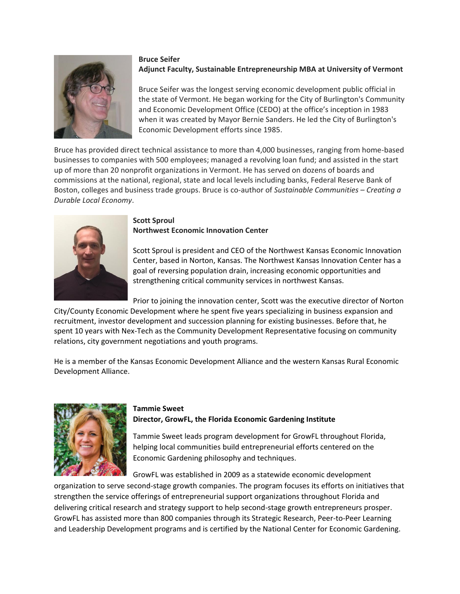

### **Bruce Seifer Adjunct Faculty, Sustainable Entrepreneurship MBA at University of Vermont**

Bruce Seifer was the longest serving economic development public official in the state of Vermont. He began working for the City of Burlington's Community and Economic Development Office (CEDO) at the office's inception in 1983 when it was created by Mayor Bernie Sanders. He led the City of Burlington's Economic Development efforts since 1985.

Bruce has provided direct technical assistance to more than 4,000 businesses, ranging from home-based businesses to companies with 500 employees; managed a revolving loan fund; and assisted in the start up of more than 20 nonprofit organizations in Vermont. He has served on dozens of boards and commissions at the national, regional, state and local levels including banks, Federal Reserve Bank of Boston, colleges and business trade groups. Bruce is co-author of *Sustainable Communities – Creating a Durable Local Economy*.



#### **Scott Sproul Northwest Economic Innovation Center**

Scott Sproul is president and CEO of the Northwest Kansas Economic Innovation Center, based in Norton, Kansas. The Northwest Kansas Innovation Center has a goal of reversing population drain, increasing economic opportunities and strengthening critical community services in northwest Kansas.

Prior to joining the innovation center, Scott was the executive director of Norton City/County Economic Development where he spent five years specializing in business expansion and recruitment, investor development and succession planning for existing businesses. Before that, he spent 10 years with Nex-Tech as the Community Development Representative focusing on community relations, city government negotiations and youth programs.

He is a member of the Kansas Economic Development Alliance and the western Kansas Rural Economic Development Alliance.



# **Tammie Sweet Director, GrowFL, the Florida Economic Gardening Institute**

Tammie Sweet leads program development for GrowFL throughout Florida, helping local communities build entrepreneurial efforts centered on the Economic Gardening philosophy and techniques.

GrowFL was established in 2009 as a statewide economic development

organization to serve second-stage growth companies. The program focuses its efforts on initiatives that strengthen the service offerings of entrepreneurial support organizations throughout Florida and delivering critical research and strategy support to help second-stage growth entrepreneurs prosper. GrowFL has assisted more than 800 companies through its Strategic Research, Peer-to-Peer Learning and Leadership Development programs and is certified by the National Center for Economic Gardening.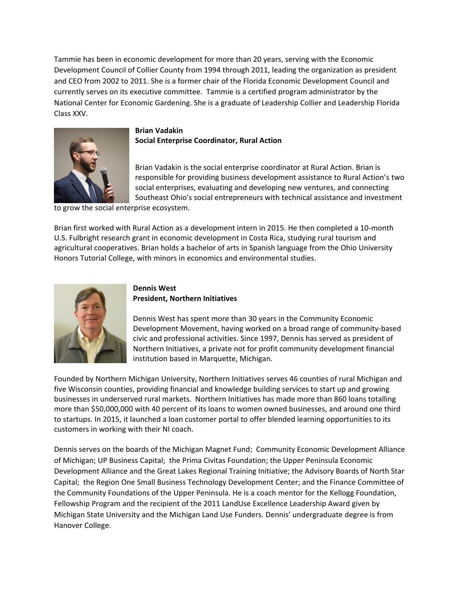Tammie has been in economic development for more than 20 years, serving with the Economic Development Council of Collier County from 1994 through 2011, leading the organization as president and CEO from 2002 to 2011. She is a former chair of the Florida Economic Development Council and currently serves on its executive committee. Tammie is a certified program administrator by the National Center for Economic Gardening. She is a graduate of Leadership Collier and Leadership Florida Class XXV.



# **Brian Vadakin Social Enterprise Coordinator, Rural Action**

Brian Vadakin is the social enterprise coordinator at Rural Action. Brian is responsible for providing business development assistance to Rural Action's two social enterprises, evaluating and developing new ventures, and connecting Southeast Ohio's social entrepreneurs with technical assistance and investment

to grow the social enterprise ecosystem.

Brian first worked with Rural Action as a development intern in 2015. He then completed a 10-month U.S. Fulbright research grant in economic development in Costa Rica, studying rural tourism and agricultural cooperatives. Brian holds a bachelor of arts in Spanish language from the Ohio University Honors Tutorial College, with minors in economics and environmental studies.



# **Dennis West President, Northern Initiatives**

Dennis West has spent more than 30 years in the Community Economic Development Movement, having worked on a broad range of community-based civic and professional activities. Since 1997, Dennis has served as president of Northern Initiatives, a private not for profit community development financial institution based in Marquette, Michigan.

Founded by Northern Michigan University, Northern Initiatives serves 46 counties of rural Michigan and five Wisconsin counties, providing financial and knowledge building services to start up and growing businesses in underserved rural markets. Northern Initiatives has made more than 860 loans totalling more than \$50,000,000 with 40 percent of its loans to women owned businesses, and around one third to startups. In 2015, it launched a loan customer portal to offer blended learning opportunities to its customers in working with their NI coach.

Dennis serves on the boards of the Michigan Magnet Fund; Community Economic Development Alliance of Michigan; UP Business Capital; the Prima Civitas Foundation; the Upper Peninsula Economic Development Alliance and the Great Lakes Regional Training Initiative; the Advisory Boards of North Star Capital; the Region One Small Business Technology Development Center; and the Finance Committee of the Community Foundations of the Upper Peninsula. He is a coach mentor for the Kellogg Foundation, Fellowship Program and the recipient of the 2011 LandUse Excellence Leadership Award given by Michigan State University and the Michigan Land Use Funders. Dennis' undergraduate degree is from Hanover College.